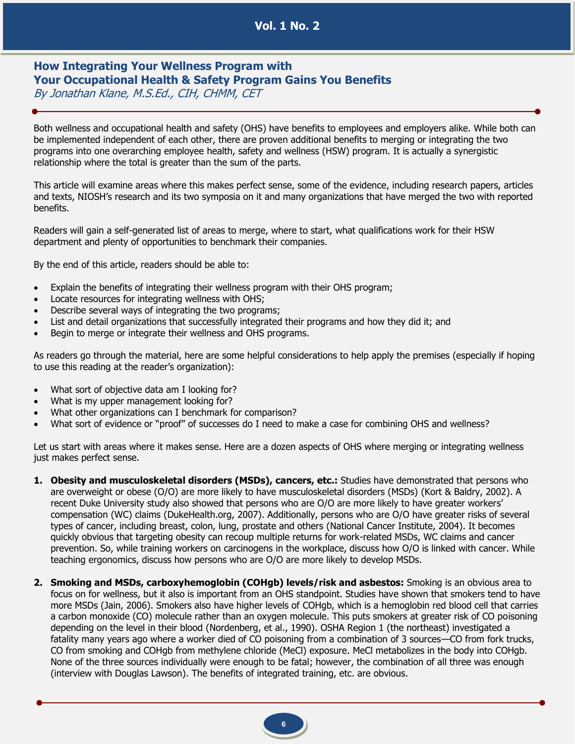## **Vol. 1 No. 2**

## **How Integrating Your Wellness Program with Your Occupational Health & Safety Program Gains You Benefits** By Jonathan Klane, M.S.Ed., CIH, CHMM, CET

Both wellness and occupational health and safety (OHS) have benefits to employees and employers alike. While both can be implemented independent of each other, there are proven additional benefits to merging or integrating the two programs into one overarching employee health, safety and wellness (HSW) program. It is actually a synergistic relationship where the total is greater than the sum of the parts.

This article will examine areas where this makes perfect sense, some of the evidence, including research papers, articles and texts, NIOSH's research and its two symposia on it and many organizations that have merged the two with reported benefits.

Readers will gain a self-generated list of areas to merge, where to start, what qualifications work for their HSW department and plenty of opportunities to benchmark their companies.

By the end of this article, readers should be able to:

- Explain the benefits of integrating their wellness program with their OHS program;
- Locate resources for integrating wellness with OHS;
- Describe several ways of integrating the two programs;
- List and detail organizations that successfully integrated their programs and how they did it; and
- Begin to merge or integrate their wellness and OHS programs.

As readers go through the material, here are some helpful considerations to help apply the premises (especially if hoping to use this reading at the reader's organization):

- What sort of objective data am I looking for?
- What is my upper management looking for?
- What other organizations can I benchmark for comparison?
- What sort of evidence or "proof" of successes do I need to make a case for combining OHS and wellness?

Let us start with areas where it makes sense. Here are a dozen aspects of OHS where merging or integrating wellness just makes perfect sense.

- **1. Obesity and musculoskeletal disorders (MSDs), cancers, etc.:** Studies have demonstrated that persons who are overweight or obese (O/O) are more likely to have musculoskeletal disorders (MSDs) (Kort & Baldry, 2002). A recent Duke University study also showed that persons who are O/O are more likely to have greater workers' compensation (WC) claims (DukeHealth.org, 2007). Additionally, persons who are O/O have greater risks of several types of cancer, including breast, colon, lung, prostate and others (National Cancer Institute, 2004). It becomes quickly obvious that targeting obesity can recoup multiple returns for work-related MSDs, WC claims and cancer prevention. So, while training workers on carcinogens in the workplace, discuss how O/O is linked with cancer. While teaching ergonomics, discuss how persons who are O/O are more likely to develop MSDs.
- **2. Smoking and MSDs, carboxyhemoglobin (COHgb) levels/risk and asbestos:** Smoking is an obvious area to focus on for wellness, but it also is important from an OHS standpoint. Studies have shown that smokers tend to have more MSDs (Jain, 2006). Smokers also have higher levels of COHgb, which is a hemoglobin red blood cell that carries a carbon monoxide (CO) molecule rather than an oxygen molecule. This puts smokers at greater risk of CO poisoning depending on the level in their blood (Nordenberg, et al., 1990). OSHA Region 1 (the northeast) investigated a fatality many years ago where a worker died of CO poisoning from a combination of 3 sources—CO from fork trucks, CO from smoking and COHgb from methylene chloride (MeCl) exposure. MeCl metabolizes in the body into COHgb. None of the three sources individually were enough to be fatal; however, the combination of all three was enough (interview with Douglas Lawson). The benefits of integrated training, etc. are obvious.

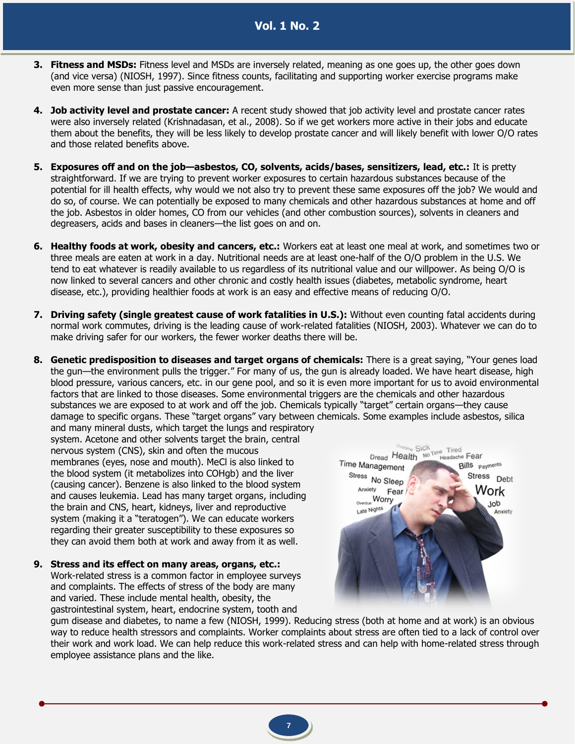- **3. Fitness and MSDs:** Fitness level and MSDs are inversely related, meaning as one goes up, the other goes down (and vice versa) (NIOSH, 1997). Since fitness counts, facilitating and supporting worker exercise programs make even more sense than just passive encouragement.
- **4. Job activity level and prostate cancer:** A recent study showed that job activity level and prostate cancer rates were also inversely related (Krishnadasan, et al., 2008). So if we get workers more active in their jobs and educate them about the benefits, they will be less likely to develop prostate cancer and will likely benefit with lower O/O rates and those related benefits above.
- **5. Exposures off and on the job—asbestos, CO, solvents, acids/bases, sensitizers, lead, etc.:** It is pretty straightforward. If we are trying to prevent worker exposures to certain hazardous substances because of the potential for ill health effects, why would we not also try to prevent these same exposures off the job? We would and do so, of course. We can potentially be exposed to many chemicals and other hazardous substances at home and off the job. Asbestos in older homes, CO from our vehicles (and other combustion sources), solvents in cleaners and degreasers, acids and bases in cleaners—the list goes on and on.
- **6. Healthy foods at work, obesity and cancers, etc.:** Workers eat at least one meal at work, and sometimes two or three meals are eaten at work in a day. Nutritional needs are at least one-half of the O/O problem in the U.S. We tend to eat whatever is readily available to us regardless of its nutritional value and our willpower. As being O/O is now linked to several cancers and other chronic and costly health issues (diabetes, metabolic syndrome, heart disease, etc.), providing healthier foods at work is an easy and effective means of reducing O/O.
- **7. Driving safety (single greatest cause of work fatalities in U.S.):** Without even counting fatal accidents during normal work commutes, driving is the leading cause of work-related fatalities (NIOSH, 2003). Whatever we can do to make driving safer for our workers, the fewer worker deaths there will be.
- **8. Genetic predisposition to diseases and target organs of chemicals:** There is a great saying, "Your genes load the gun—the environment pulls the trigger." For many of us, the gun is already loaded. We have heart disease, high blood pressure, various cancers, etc. in our gene pool, and so it is even more important for us to avoid environmental factors that are linked to those diseases. Some environmental triggers are the chemicals and other hazardous substances we are exposed to at work and off the job. Chemicals typically "target" certain organs—they cause damage to specific organs. These "target organs" vary between chemicals. Some examples include asbestos, silica and many mineral dusts, which target the lungs and respiratory

system. Acetone and other solvents target the brain, central nervous system (CNS), skin and often the mucous membranes (eyes, nose and mouth). MeCl is also linked to the blood system (it metabolizes into COHgb) and the liver (causing cancer). Benzene is also linked to the blood system and causes leukemia. Lead has many target organs, including the brain and CNS, heart, kidneys, liver and reproductive system (making it a "teratogen"). We can educate workers regarding their greater susceptibility to these exposures so they can avoid them both at work and away from it as well.

**9. Stress and its effect on many areas, organs, etc.:** Work-related stress is a common factor in employee surveys and complaints. The effects of stress of the body are many and varied. These include mental health, obesity, the gastrointestinal system, heart, endocrine system, tooth and



gum disease and diabetes, to name a few (NIOSH, 1999). Reducing stress (both at home and at work) is an obvious way to reduce health stressors and complaints. Worker complaints about stress are often tied to a lack of control over their work and work load. We can help reduce this work-related stress and can help with home-related stress through employee assistance plans and the like.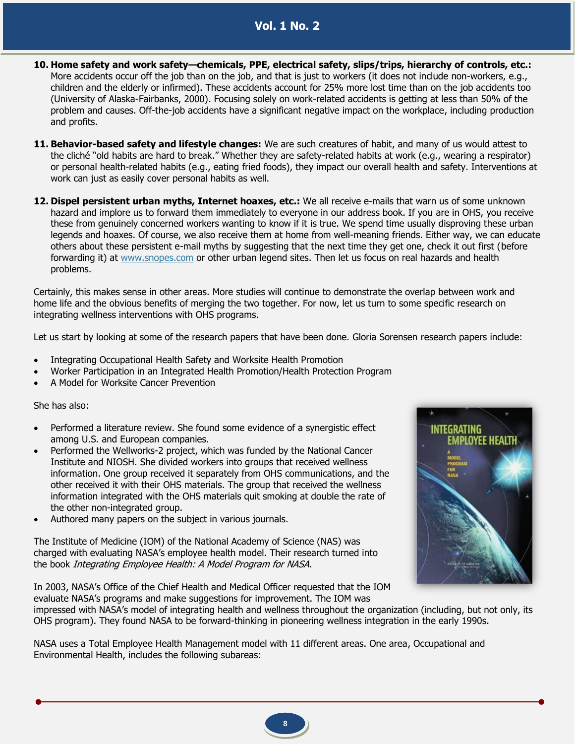- **10. Home safety and work safety—chemicals, PPE, electrical safety, slips/trips, hierarchy of controls, etc.:** More accidents occur off the job than on the job, and that is just to workers (it does not include non-workers, e.g., children and the elderly or infirmed). These accidents account for 25% more lost time than on the job accidents too (University of Alaska-Fairbanks, 2000). Focusing solely on work-related accidents is getting at less than 50% of the problem and causes. Off-the-job accidents have a significant negative impact on the workplace, including production and profits.
- **11. Behavior-based safety and lifestyle changes:** We are such creatures of habit, and many of us would attest to the cliché "old habits are hard to break." Whether they are safety-related habits at work (e.g., wearing a respirator) or personal health-related habits (e.g., eating fried foods), they impact our overall health and safety. Interventions at work can just as easily cover personal habits as well.
- **12. Dispel persistent urban myths, Internet hoaxes, etc.:** We all receive e-mails that warn us of some unknown hazard and implore us to forward them immediately to everyone in our address book. If you are in OHS, you receive these from genuinely concerned workers wanting to know if it is true. We spend time usually disproving these urban legends and hoaxes. Of course, we also receive them at home from well-meaning friends. Either way, we can educate others about these persistent e-mail myths by suggesting that the next time they get one, check it out first (before forwarding it) at [www.snopes.com](http://www.snopes.com/) or other urban legend sites. Then let us focus on real hazards and health problems.

Certainly, this makes sense in other areas. More studies will continue to demonstrate the overlap between work and home life and the obvious benefits of merging the two together. For now, let us turn to some specific research on integrating wellness interventions with OHS programs.

Let us start by looking at some of the research papers that have been done. Gloria Sorensen research papers include:

- Integrating Occupational Health Safety and Worksite Health Promotion
- Worker Participation in an Integrated Health Promotion/Health Protection Program
- A Model for Worksite Cancer Prevention

She has also:

- Performed a literature review. She found some evidence of a synergistic effect among U.S. and European companies.
- Performed the Wellworks-2 project, which was funded by the National Cancer Institute and NIOSH. She divided workers into groups that received wellness information. One group received it separately from OHS communications, and the other received it with their OHS materials. The group that received the wellness information integrated with the OHS materials quit smoking at double the rate of the other non-integrated group.
- Authored many papers on the subject in various journals.

The Institute of Medicine (IOM) of the National Academy of Science (NAS) was charged with evaluating NASA's employee health model. Their research turned into the book Integrating Employee Health: A Model Program for NASA.

In 2003, NASA's Office of the Chief Health and Medical Officer requested that the IOM evaluate NASA's programs and make suggestions for improvement. The IOM was



impressed with NASA's model of integrating health and wellness throughout the organization (including, but not only, its OHS program). They found NASA to be forward-thinking in pioneering wellness integration in the early 1990s.

NASA uses a Total Employee Health Management model with 11 different areas. One area, Occupational and Environmental Health, includes the following subareas:

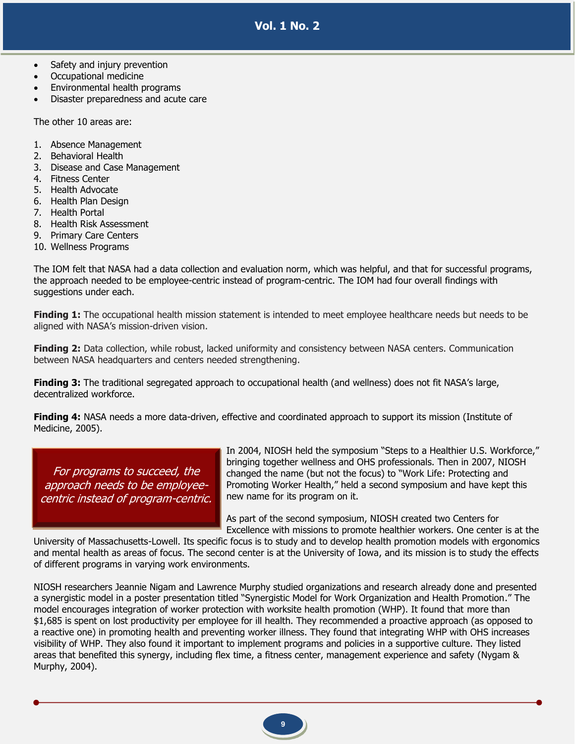- Safety and injury prevention
- Occupational medicine
- Environmental health programs
- Disaster preparedness and acute care

The other 10 areas are:

- 1. Absence Management
- 2. Behavioral Health
- 3. Disease and Case Management
- 4. Fitness Center
- 5. Health Advocate
- 6. Health Plan Design
- 7. Health Portal
- 8. Health Risk Assessment
- 9. Primary Care Centers
- 10. Wellness Programs

The IOM felt that NASA had a data collection and evaluation norm, which was helpful, and that for successful programs, the approach needed to be employee-centric instead of program-centric. The IOM had four overall findings with suggestions under each.

**Finding 1:** The occupational health mission statement is intended to meet employee healthcare needs but needs to be aligned with NASA's mission-driven vision.

**Finding 2:** Data collection, while robust, lacked uniformity and consistency between NASA centers. Communication between NASA headquarters and centers needed strengthening.

Finding 3: The traditional segregated approach to occupational health (and wellness) does not fit NASA's large, decentralized workforce.

**Finding 4:** NASA needs a more data-driven, effective and coordinated approach to support its mission (Institute of Medicine, 2005).

For programs to succeed, the approach needs to be employeecentric instead of program-centric. In 2004, NIOSH held the symposium "Steps to a Healthier U.S. Workforce," bringing together wellness and OHS professionals. Then in 2007, NIOSH changed the name (but not the focus) to "Work Life: Protecting and Promoting Worker Health," held a second symposium and have kept this new name for its program on it.

As part of the second symposium, NIOSH created two Centers for Excellence with missions to promote healthier workers. One center is at the

University of Massachusetts-Lowell. Its specific focus is to study and to develop health promotion models with ergonomics and mental health as areas of focus. The second center is at the University of Iowa, and its mission is to study the effects of different programs in varying work environments.

NIOSH researchers Jeannie Nigam and Lawrence Murphy studied organizations and research already done and presented a synergistic model in a poster presentation titled "Synergistic Model for Work Organization and Health Promotion." The model encourages integration of worker protection with worksite health promotion (WHP). It found that more than \$1,685 is spent on lost productivity per employee for ill health. They recommended a proactive approach (as opposed to a reactive one) in promoting health and preventing worker illness. They found that integrating WHP with OHS increases visibility of WHP. They also found it important to implement programs and policies in a supportive culture. They listed areas that benefited this synergy, including flex time, a fitness center, management experience and safety (Nygam & Murphy, 2004).

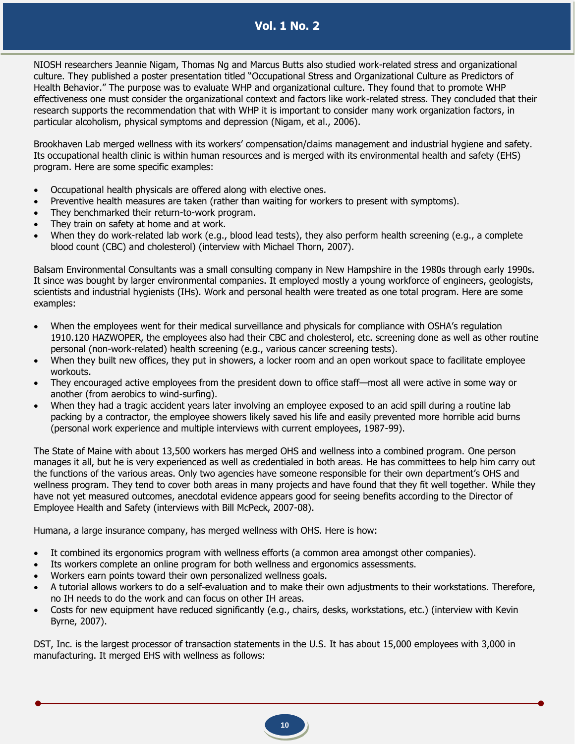NIOSH researchers Jeannie Nigam, Thomas Ng and Marcus Butts also studied work-related stress and organizational culture. They published a poster presentation titled "Occupational Stress and Organizational Culture as Predictors of Health Behavior." The purpose was to evaluate WHP and organizational culture. They found that to promote WHP effectiveness one must consider the organizational context and factors like work-related stress. They concluded that their research supports the recommendation that with WHP it is important to consider many work organization factors, in particular alcoholism, physical symptoms and depression (Nigam, et al., 2006).

Brookhaven Lab merged wellness with its workers' compensation/claims management and industrial hygiene and safety. Its occupational health clinic is within human resources and is merged with its environmental health and safety (EHS) program. Here are some specific examples:

- Occupational health physicals are offered along with elective ones.
- Preventive health measures are taken (rather than waiting for workers to present with symptoms).
- They benchmarked their return-to-work program.
- They train on safety at home and at work.
- When they do work-related lab work (e.g., blood lead tests), they also perform health screening (e.g., a complete blood count (CBC) and cholesterol) (interview with Michael Thorn, 2007).

Balsam Environmental Consultants was a small consulting company in New Hampshire in the 1980s through early 1990s. It since was bought by larger environmental companies. It employed mostly a young workforce of engineers, geologists, scientists and industrial hygienists (IHs). Work and personal health were treated as one total program. Here are some examples:

- When the employees went for their medical surveillance and physicals for compliance with OSHA's regulation 1910.120 HAZWOPER, the employees also had their CBC and cholesterol, etc. screening done as well as other routine personal (non-work-related) health screening (e.g., various cancer screening tests).
- When they built new offices, they put in showers, a locker room and an open workout space to facilitate employee workouts.
- They encouraged active employees from the president down to office staff—most all were active in some way or another (from aerobics to wind-surfing).
- When they had a tragic accident years later involving an employee exposed to an acid spill during a routine lab packing by a contractor, the employee showers likely saved his life and easily prevented more horrible acid burns (personal work experience and multiple interviews with current employees, 1987-99).

The State of Maine with about 13,500 workers has merged OHS and wellness into a combined program. One person manages it all, but he is very experienced as well as credentialed in both areas. He has committees to help him carry out the functions of the various areas. Only two agencies have someone responsible for their own department's OHS and wellness program. They tend to cover both areas in many projects and have found that they fit well together. While they have not yet measured outcomes, anecdotal evidence appears good for seeing benefits according to the Director of Employee Health and Safety (interviews with Bill McPeck, 2007-08).

Humana, a large insurance company, has merged wellness with OHS. Here is how:

- It combined its ergonomics program with wellness efforts (a common area amongst other companies).
- Its workers complete an online program for both wellness and ergonomics assessments.
- Workers earn points toward their own personalized wellness goals.
- A tutorial allows workers to do a self-evaluation and to make their own adjustments to their workstations. Therefore, no IH needs to do the work and can focus on other IH areas.
- Costs for new equipment have reduced significantly (e.g., chairs, desks, workstations, etc.) (interview with Kevin Byrne, 2007).

DST, Inc. is the largest processor of transaction statements in the U.S. It has about 15,000 employees with 3,000 in manufacturing. It merged EHS with wellness as follows: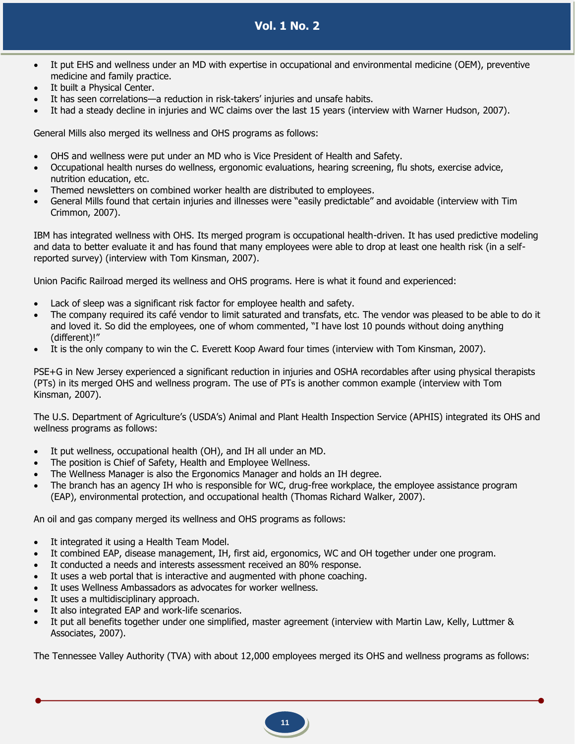- It put EHS and wellness under an MD with expertise in occupational and environmental medicine (OEM), preventive medicine and family practice.
- It built a Physical Center.
- It has seen correlations—a reduction in risk-takers' injuries and unsafe habits.
- It had a steady decline in injuries and WC claims over the last 15 years (interview with Warner Hudson, 2007).

General Mills also merged its wellness and OHS programs as follows:

- OHS and wellness were put under an MD who is Vice President of Health and Safety.
- Occupational health nurses do wellness, ergonomic evaluations, hearing screening, flu shots, exercise advice, nutrition education, etc.
- Themed newsletters on combined worker health are distributed to employees.
- General Mills found that certain injuries and illnesses were "easily predictable" and avoidable (interview with Tim Crimmon, 2007).

IBM has integrated wellness with OHS. Its merged program is occupational health-driven. It has used predictive modeling and data to better evaluate it and has found that many employees were able to drop at least one health risk (in a selfreported survey) (interview with Tom Kinsman, 2007).

Union Pacific Railroad merged its wellness and OHS programs. Here is what it found and experienced:

- Lack of sleep was a significant risk factor for employee health and safety.
- The company required its café vendor to limit saturated and transfats, etc. The vendor was pleased to be able to do it and loved it. So did the employees, one of whom commented, "I have lost 10 pounds without doing anything (different)!"
- It is the only company to win the C. Everett Koop Award four times (interview with Tom Kinsman, 2007).

PSE+G in New Jersey experienced a significant reduction in injuries and OSHA recordables after using physical therapists (PTs) in its merged OHS and wellness program. The use of PTs is another common example (interview with Tom Kinsman, 2007).

The U.S. Department of Agriculture's (USDA's) Animal and Plant Health Inspection Service (APHIS) integrated its OHS and wellness programs as follows:

- It put wellness, occupational health (OH), and IH all under an MD.
- The position is Chief of Safety, Health and Employee Wellness.
- The Wellness Manager is also the Ergonomics Manager and holds an IH degree.
- The branch has an agency IH who is responsible for WC, drug-free workplace, the employee assistance program (EAP), environmental protection, and occupational health (Thomas Richard Walker, 2007).

An oil and gas company merged its wellness and OHS programs as follows:

- It integrated it using a Health Team Model.
- It combined EAP, disease management, IH, first aid, ergonomics, WC and OH together under one program.
- It conducted a needs and interests assessment received an 80% response.
- It uses a web portal that is interactive and augmented with phone coaching.
- It uses Wellness Ambassadors as advocates for worker wellness.
- It uses a multidisciplinary approach.
- It also integrated EAP and work-life scenarios.
- It put all benefits together under one simplified, master agreement (interview with Martin Law, Kelly, Luttmer & Associates, 2007).

The Tennessee Valley Authority (TVA) with about 12,000 employees merged its OHS and wellness programs as follows: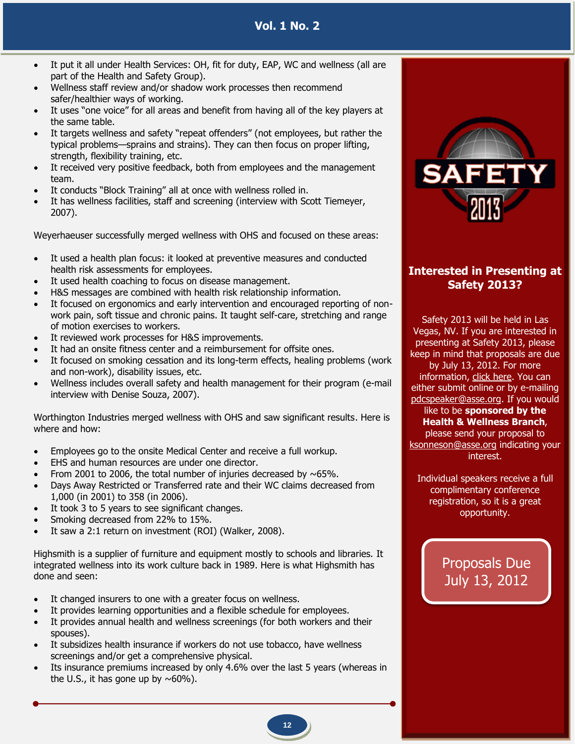**Vol. 1 No. 2**

- It put it all under Health Services: OH, fit for duty, EAP, WC and wellness (all are part of the Health and Safety Group).
- Wellness staff review and/or shadow work processes then recommend safer/healthier ways of working.
- It uses "one voice" for all areas and benefit from having all of the key players at the same table.
- It targets wellness and safety "repeat offenders" (not employees, but rather the typical problems—sprains and strains). They can then focus on proper lifting, strength, flexibility training, etc.
- It received very positive feedback, both from employees and the management team.
- It conducts "Block Training" all at once with wellness rolled in.
- It has wellness facilities, staff and screening (interview with Scott Tiemeyer, 2007).

Weyerhaeuser successfully merged wellness with OHS and focused on these areas:

- It used a health plan focus: it looked at preventive measures and conducted health risk assessments for employees.
- It used health coaching to focus on disease management.
- H&S messages are combined with health risk relationship information.
- It focused on ergonomics and early intervention and encouraged reporting of nonwork pain, soft tissue and chronic pains. It taught self-care, stretching and range of motion exercises to workers.
- It reviewed work processes for H&S improvements.
- It had an onsite fitness center and a reimbursement for offsite ones.
- It focused on smoking cessation and its long-term effects, healing problems (work and non-work), disability issues, etc.
- Wellness includes overall safety and health management for their program (e-mail interview with Denise Souza, 2007).

Worthington Industries merged wellness with OHS and saw significant results. Here is where and how:

- Employees go to the onsite Medical Center and receive a full workup.
- EHS and human resources are under one director.
- From 2001 to 2006, the total number of injuries decreased by  $\sim 65\%$ .
- Days Away Restricted or Transferred rate and their WC claims decreased from 1,000 (in 2001) to 358 (in 2006).
- It took 3 to 5 years to see significant changes.
- Smoking decreased from 22% to 15%.
- It saw a 2:1 return on investment (ROI) (Walker, 2008).

Highsmith is a supplier of furniture and equipment mostly to schools and libraries. It integrated wellness into its work culture back in 1989. Here is what Highsmith has done and seen:

- It changed insurers to one with a greater focus on wellness.
- It provides learning opportunities and a flexible schedule for employees.
- It provides annual health and wellness screenings (for both workers and their spouses).
- It subsidizes health insurance if workers do not use tobacco, have wellness screenings and/or get a comprehensive physical.
- Its insurance premiums increased by only 4.6% over the last 5 years (whereas in the U.S., it has gone up by  $\sim 60\%$ ).



# **Interested in Presenting at Safety 2013?**

Safety 2013 will be held in Las Vegas, NV. If you are interested in presenting at Safety 2013, please keep in mind that proposals are due by July 13, 2012. For more information, [click here.](http://www.asse.org/education/callforspeakers2013.php) You can either submit online or by e-mailing [pdcspeaker@asse.org.](mailto:pdcspeaker@asse.org) If you would

#### like to be **sponsored by the Health & Wellness Branch**,

please send your proposal to [ksonneson@asse.org](mailto:ksonneson@asse.org) indicating your interest.

Individual speakers receive a full complimentary conference registration, so it is a great opportunity.

> Proposals Due July 13, 2012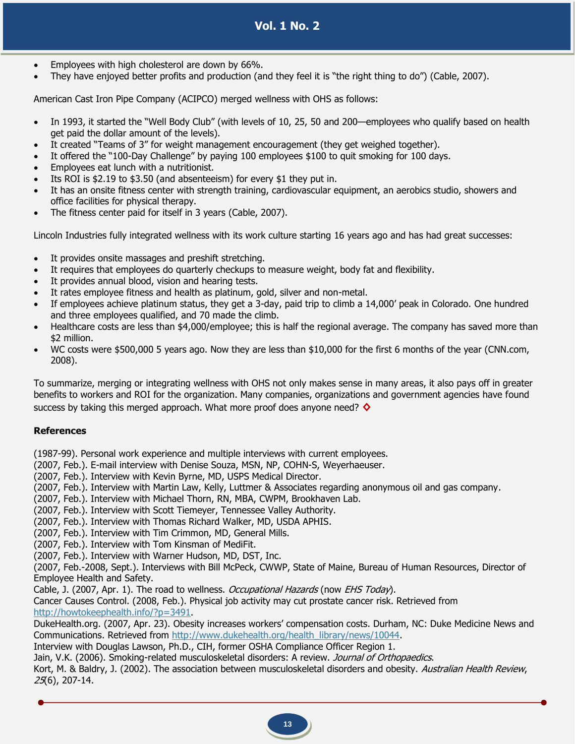- Employees with high cholesterol are down by 66%.
- They have enjoyed better profits and production (and they feel it is "the right thing to do") (Cable, 2007).

American Cast Iron Pipe Company (ACIPCO) merged wellness with OHS as follows:

- In 1993, it started the "Well Body Club" (with levels of 10, 25, 50 and 200—employees who qualify based on health get paid the dollar amount of the levels).
- It created "Teams of 3" for weight management encouragement (they get weighed together).
- It offered the "100-Day Challenge" by paying 100 employees \$100 to quit smoking for 100 days.
- Employees eat lunch with a nutritionist.
- Its ROI is \$2.19 to \$3.50 (and absenteeism) for every \$1 they put in.
- It has an onsite fitness center with strength training, cardiovascular equipment, an aerobics studio, showers and office facilities for physical therapy.
- The fitness center paid for itself in 3 years (Cable, 2007).

Lincoln Industries fully integrated wellness with its work culture starting 16 years ago and has had great successes:

- It provides onsite massages and preshift stretching.
- It requires that employees do quarterly checkups to measure weight, body fat and flexibility.
- It provides annual blood, vision and hearing tests.
- It rates employee fitness and health as platinum, gold, silver and non-metal.
- If employees achieve platinum status, they get a 3-day, paid trip to climb a 14,000' peak in Colorado. One hundred and three employees qualified, and 70 made the climb.
- Healthcare costs are less than \$4,000/employee; this is half the regional average. The company has saved more than \$2 million.
- WC costs were \$500,000 5 years ago. Now they are less than \$10,000 for the first 6 months of the year (CNN.com, 2008).

To summarize, merging or integrating wellness with OHS not only makes sense in many areas, it also pays off in greater benefits to workers and ROI for the organization. Many companies, organizations and government agencies have found success by taking this merged approach. What more proof does anyone need? **◊**

### **References**

(1987-99). Personal work experience and multiple interviews with current employees.

(2007, Feb.). E-mail interview with Denise Souza, MSN, NP, COHN-S, Weyerhaeuser.

(2007, Feb.). Interview with Kevin Byrne, MD, USPS Medical Director.

- (2007, Feb.). Interview with Martin Law, Kelly, Luttmer & Associates regarding anonymous oil and gas company.
- (2007, Feb.). Interview with Michael Thorn, RN, MBA, CWPM, Brookhaven Lab.

(2007, Feb.). Interview with Scott Tiemeyer, Tennessee Valley Authority.

(2007, Feb.). Interview with Thomas Richard Walker, MD, USDA APHIS.

(2007, Feb.). Interview with Tim Crimmon, MD, General Mills.

(2007, Feb.). Interview with Tom Kinsman of MediFit.

(2007, Feb.). Interview with Warner Hudson, MD, DST, Inc.

(2007, Feb.-2008, Sept.). Interviews with Bill McPeck, CWWP, State of Maine, Bureau of Human Resources, Director of Employee Health and Safety.

Cable, J. (2007, Apr. 1). The road to wellness. Occupational Hazards (now EHS Today).

Cancer Causes Control. (2008, Feb.). Physical job activity may cut prostate cancer risk. Retrieved from [http://howtokeephealth.info/?p=3491.](http://howtokeephealth.info/?p=3491)

DukeHealth.org. (2007, Apr. 23). Obesity increases workers' compensation costs. Durham, NC: Duke Medicine News and Communications. Retrieved from [http://www.dukehealth.org/health\\_library/news/10044.](http://www.dukehealth.org/health_library/news/10044)

Interview with Douglas Lawson, Ph.D., CIH, former OSHA Compliance Officer Region 1.

Jain, V.K. (2006). Smoking-related musculoskeletal disorders: A review. Journal of Orthopaedics.

Kort, M. & Baldry, J. (2002). The association between musculoskeletal disorders and obesity. Australian Health Review, 25(6), 207-14.